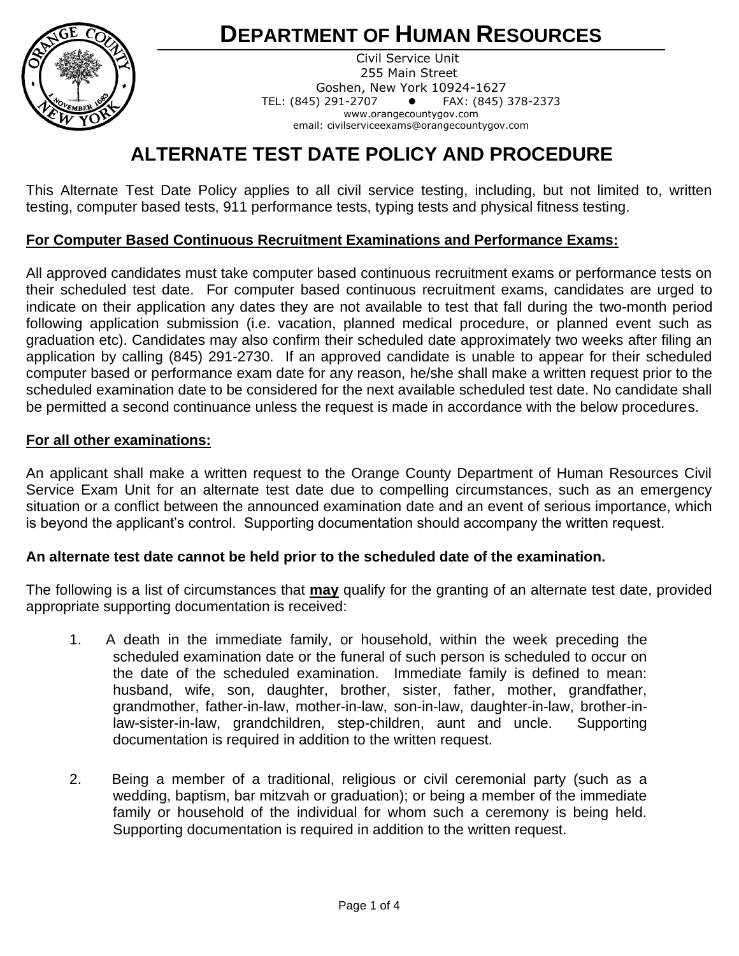

# **DEPARTMENT OF HUMAN RESOURCES**

 Civil Service Unit 255 Main Street Goshen, New York 10924-1627 TEL: (845) 291-2707 ⚫ FAX: (845) 378-2373 [www.orangecountygov.com](http://www.orangecountygov.com/) email: civilserviceexams@orangecountygov.com

# **ALTERNATE TEST DATE POLICY AND PROCEDURE**

This Alternate Test Date Policy applies to all civil service testing, including, but not limited to, written testing, computer based tests, 911 performance tests, typing tests and physical fitness testing.

#### **For Computer Based Continuous Recruitment Examinations and Performance Exams:**

All approved candidates must take computer based continuous recruitment exams or performance tests on their scheduled test date. For computer based continuous recruitment exams, candidates are urged to indicate on their application any dates they are not available to test that fall during the two-month period following application submission (i.e. vacation, planned medical procedure, or planned event such as graduation etc). Candidates may also confirm their scheduled date approximately two weeks after filing an application by calling (845) 291-2730. If an approved candidate is unable to appear for their scheduled computer based or performance exam date for any reason, he/she shall make a written request prior to the scheduled examination date to be considered for the next available scheduled test date. No candidate shall be permitted a second continuance unless the request is made in accordance with the below procedures.

#### **For all other examinations:**

An applicant shall make a written request to the Orange County Department of Human Resources Civil Service Exam Unit for an alternate test date due to compelling circumstances, such as an emergency situation or a conflict between the announced examination date and an event of serious importance, which is beyond the applicant's control. Supporting documentation should accompany the written request.

#### **An alternate test date cannot be held prior to the scheduled date of the examination.**

The following is a list of circumstances that **may** qualify for the granting of an alternate test date, provided appropriate supporting documentation is received:

- 1. A death in the immediate family, or household, within the week preceding the scheduled examination date or the funeral of such person is scheduled to occur on the date of the scheduled examination. Immediate family is defined to mean: husband, wife, son, daughter, brother, sister, father, mother, grandfather, grandmother, father-in-law, mother-in-law, son-in-law, daughter-in-law, brother-inlaw-sister-in-law, grandchildren, step-children, aunt and uncle. Supporting documentation is required in addition to the written request.
- 2. Being a member of a traditional, religious or civil ceremonial party (such as a wedding, baptism, bar mitzvah or graduation); or being a member of the immediate family or household of the individual for whom such a ceremony is being held. Supporting documentation is required in addition to the written request.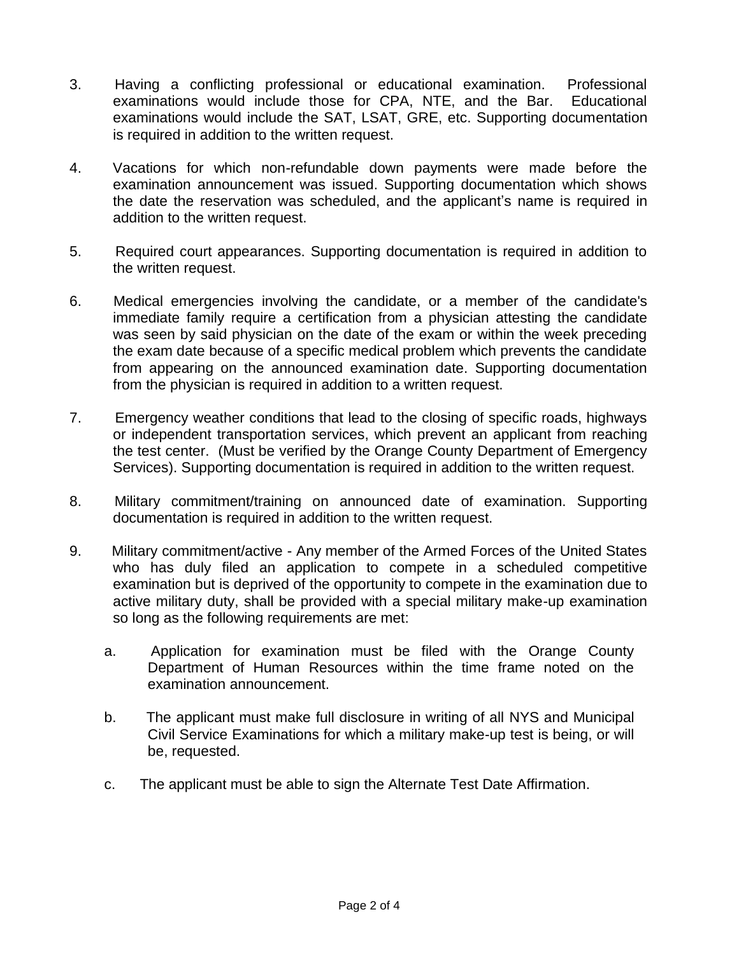- 3. Having a conflicting professional or educational examination. Professional examinations would include those for CPA, NTE, and the Bar. Educational examinations would include the SAT, LSAT, GRE, etc. Supporting documentation is required in addition to the written request.
- 4. Vacations for which non-refundable down payments were made before the examination announcement was issued. Supporting documentation which shows the date the reservation was scheduled, and the applicant's name is required in addition to the written request.
- 5. Required court appearances. Supporting documentation is required in addition to the written request.
- 6. Medical emergencies involving the candidate, or a member of the candidate's immediate family require a certification from a physician attesting the candidate was seen by said physician on the date of the exam or within the week preceding the exam date because of a specific medical problem which prevents the candidate from appearing on the announced examination date. Supporting documentation from the physician is required in addition to a written request.
- 7. Emergency weather conditions that lead to the closing of specific roads, highways or independent transportation services, which prevent an applicant from reaching the test center. (Must be verified by the Orange County Department of Emergency Services). Supporting documentation is required in addition to the written request.
- 8. Military commitment/training on announced date of examination. Supporting documentation is required in addition to the written request.
- 9. Military commitment/active Any member of the Armed Forces of the United States who has duly filed an application to compete in a scheduled competitive examination but is deprived of the opportunity to compete in the examination due to active military duty, shall be provided with a special military make-up examination so long as the following requirements are met:
	- a. Application for examination must be filed with the Orange County Department of Human Resources within the time frame noted on the examination announcement.
	- b. The applicant must make full disclosure in writing of all NYS and Municipal Civil Service Examinations for which a military make-up test is being, or will be, requested.
	- c. The applicant must be able to sign the Alternate Test Date Affirmation.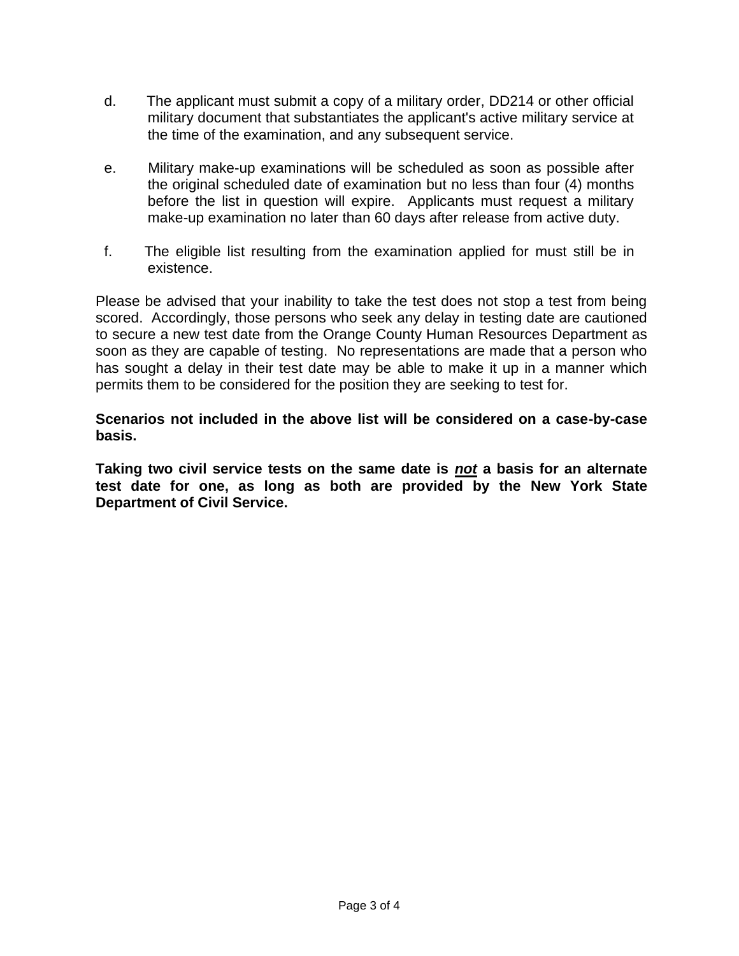- d. The applicant must submit a copy of a military order, DD214 or other official military document that substantiates the applicant's active military service at the time of the examination, and any subsequent service.
- e. Military make-up examinations will be scheduled as soon as possible after the original scheduled date of examination but no less than four (4) months before the list in question will expire. Applicants must request a military make-up examination no later than 60 days after release from active duty.
- f. The eligible list resulting from the examination applied for must still be in existence.

Please be advised that your inability to take the test does not stop a test from being scored. Accordingly, those persons who seek any delay in testing date are cautioned to secure a new test date from the Orange County Human Resources Department as soon as they are capable of testing. No representations are made that a person who has sought a delay in their test date may be able to make it up in a manner which permits them to be considered for the position they are seeking to test for.

**Scenarios not included in the above list will be considered on a case-by-case basis.** 

**Taking two civil service tests on the same date is** *not* **a basis for an alternate test date for one, as long as both are provided by the New York State Department of Civil Service.**